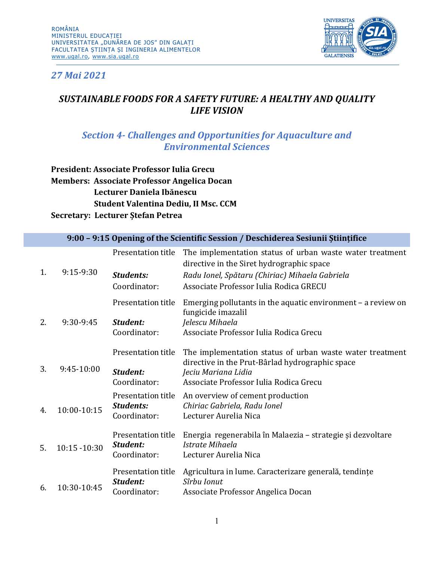

*27 Mai 2021*

## *SUSTAINABLE FOODS FOR A SAFETY FUTURE: A HEALTHY AND QUALITY LIFE VISION*

## *Section 4- Challenges and Opportunities for Aquaculture and Environmental Sciences*

**President: Associate Professor Iulia Grecu Members: Associate Professor Angelica Docan Lecturer Daniela Ibănescu Student Valentina Dediu, II Msc. CCM Secretary: Lecturer Ștefan Petrea**

| 1. | 9:15-9:30    | Presentation title<br><b>Students:</b><br>Coordinator: | The implementation status of urban waste water treatment<br>directive in the Siret hydrographic space<br>Radu Ionel, Spătaru (Chiriac) Mihaela Gabriela<br>Associate Professor Iulia Rodica GRECU |
|----|--------------|--------------------------------------------------------|---------------------------------------------------------------------------------------------------------------------------------------------------------------------------------------------------|
|    |              | Presentation title                                     | Emerging pollutants in the aquatic environment $-$ a review on                                                                                                                                    |
| 2. | 9:30-9:45    | Student:<br>Coordinator:                               | fungicide imazalil<br>Jelescu Mihaela<br>Associate Professor Iulia Rodica Grecu                                                                                                                   |
| 3. | 9:45-10:00   | Presentation title                                     | The implementation status of urban waste water treatment                                                                                                                                          |
|    |              | Student:<br>Coordinator:                               | directive in the Prut-Bârlad hydrographic space<br>Jeciu Mariana Lidia<br>Associate Professor Iulia Rodica Grecu                                                                                  |
| 4. | 10:00-10:15  | Presentation title<br><b>Students:</b><br>Coordinator: | An overview of cement production<br>Chiriac Gabriela, Radu Ionel<br>Lecturer Aurelia Nica                                                                                                         |
| 5. | 10:15 -10:30 | Presentation title<br>Student:<br>Coordinator:         | Energia regenerabila în Malaezia – strategie și dezvoltare<br>Istrate Mihaela<br>Lecturer Aurelia Nica                                                                                            |
| 6. | 10:30-10:45  | Presentation title<br>Student:<br>Coordinator:         | Agricultura in lume. Caracterizare generală, tendințe<br>Sîrbu Ionut<br>Associate Professor Angelica Docan                                                                                        |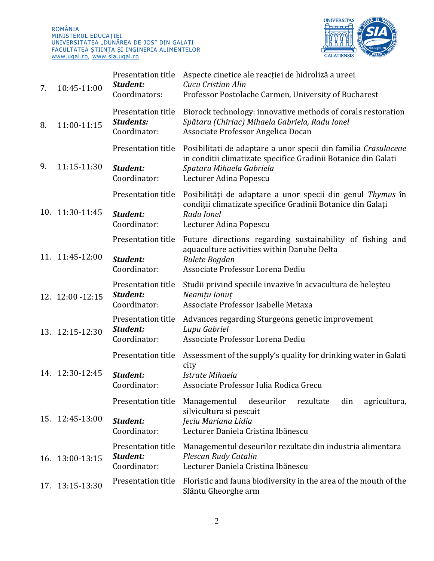ROMÂNIA MINISTERUL EDUCAȚIEI UNIVERSITATEA "DUNAREA DE JOS" DIN GALAȚI FACULTATEA ȘTIINȚA ȘI INGINERIA ALIMENTELOR [www.ugal.ro,](http://www.ugal.ro/) [www.sia.ugal.ro](http://www.sia.ugal.ro/)



| 7. | 10:45-11:00       | Presentation title<br>Student:<br>Coordinators:        | Aspecte cinetice ale reacției de hidroliză a ureei<br>Cucu Cristian Alin<br>Professor Postolache Carmen, University of Bucharest                                                       |
|----|-------------------|--------------------------------------------------------|----------------------------------------------------------------------------------------------------------------------------------------------------------------------------------------|
| 8. | 11:00-11:15       | Presentation title<br><b>Students:</b><br>Coordinator: | Biorock technology: innovative methods of corals restoration<br>Spătaru (Chiriac) Mihaela Gabriela, Radu Ionel<br>Associate Professor Angelica Docan                                   |
| 9. | 11:15-11:30       | Presentation title<br>Student:<br>Coordinator:         | Posibilitati de adaptare a unor specii din familia Crasulaceae<br>in conditii climatizate specifice Gradinii Botanice din Galati<br>Spataru Mihaela Gabriela<br>Lecturer Adina Popescu |
|    | 10. 11:30-11:45   | Presentation title<br>Student:<br>Coordinator:         | Posibilități de adaptare a unor specii din genul Thymus în<br>condiții climatizate specifice Gradinii Botanice din Galați<br>Radu Ionel<br>Lecturer Adina Popescu                      |
|    | 11. 11:45-12:00   | Presentation title<br>Student:<br>Coordinator:         | Future directions regarding sustainability of fishing and<br>aquaculture activities within Danube Delta<br><b>Bulete Bogdan</b><br>Associate Professor Lorena Dediu                    |
|    | 12. 12:00 - 12:15 | Presentation title<br>Student:<br>Coordinator:         | Studii privind speciile invazive în acvacultura de heleșteu<br>Neamțu Ionuț<br>Associate Professor Isabelle Metaxa                                                                     |
|    | 13. 12:15-12:30   | Presentation title<br>Student:<br>Coordinator:         | Advances regarding Sturgeons genetic improvement<br>Lupu Gabriel<br>Associate Professor Lorena Dediu                                                                                   |
|    | 14. 12:30-12:45   | Presentation title<br>Student:<br>Coordinator:         | Assessment of the supply's quality for drinking water in Galati<br>city<br>Istrate Mihaela<br>Associate Professor Iulia Rodica Grecu                                                   |
|    | 15. 12:45-13:00   | Presentation title<br>Student:<br>Coordinator:         | rezultate<br>deseurilor<br>din<br>agricultura,<br>Managementul<br>silvicultura si pescuit<br>Jeciu Mariana Lidia<br>Lecturer Daniela Cristina Ibănescu                                 |
|    | 16. 13:00-13:15   | Presentation title<br>Student:<br>Coordinator:         | Managementul deseurilor rezultate din industria alimentara<br>Plescan Rudy Catalin<br>Lecturer Daniela Cristina Ibănescu                                                               |
|    | 17. 13:15-13:30   | Presentation title                                     | Floristic and fauna biodiversity in the area of the mouth of the<br>Sfântu Gheorghe arm                                                                                                |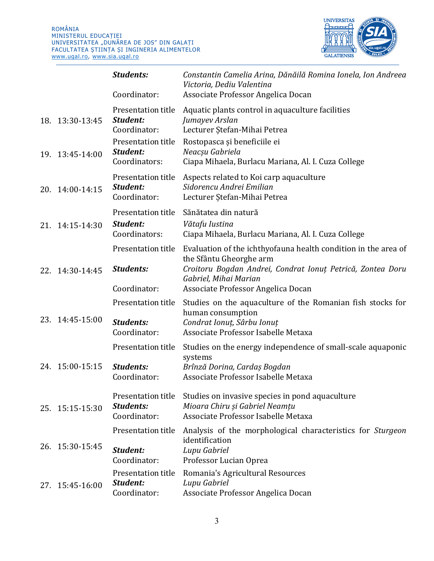

|                 | <b>Students:</b><br>Coordinator:                       | Constantin Camelia Arina, Dănăilă Romina Ionela, Ion Andreea<br>Victoria, Dediu Valentina<br>Associate Professor Angelica Docan                                                                                        |
|-----------------|--------------------------------------------------------|------------------------------------------------------------------------------------------------------------------------------------------------------------------------------------------------------------------------|
| 18. 13:30-13:45 | Presentation title<br>Student:<br>Coordinator:         | Aquatic plants control in aquaculture facilities<br>Jumayev Arslan<br>Lecturer Ștefan-Mihai Petrea                                                                                                                     |
| 19. 13:45-14:00 | Presentation title<br>Student:<br>Coordinators:        | Rostopasca și beneficiile ei<br>Neacșu Gabriela<br>Ciapa Mihaela, Burlacu Mariana, Al. I. Cuza College                                                                                                                 |
| 20. 14:00-14:15 | Presentation title<br>Student:<br>Coordinator:         | Aspects related to Koi carp aquaculture<br>Sidorencu Andrei Emilian<br>Lecturer Ştefan-Mihai Petrea                                                                                                                    |
| 21. 14:15-14:30 | Presentation title<br>Student:<br>Coordinators:        | Sănătatea din natură<br>Vătafu Iustina<br>Ciapa Mihaela, Burlacu Mariana, Al. I. Cuza College                                                                                                                          |
| 22. 14:30-14:45 | Presentation title<br><b>Students:</b><br>Coordinator: | Evaluation of the ichthyofauna health condition in the area of<br>the Sfântu Gheorghe arm<br>Croitoru Bogdan Andrei, Condrat Ionuț Petrică, Zontea Doru<br>Gabriel, Mihai Marian<br>Associate Professor Angelica Docan |
| 23. 14:45-15:00 | Presentation title<br><b>Students:</b><br>Coordinator: | Studies on the aquaculture of the Romanian fish stocks for<br>human consumption<br>Condrat Ionut, Sârbu Ionuț<br>Associate Professor Isabelle Metaxa                                                                   |
| 24. 15:00-15:15 | Presentation title<br><b>Students:</b><br>Coordinator: | Studies on the energy independence of small-scale aquaponic<br>systems<br>Brînză Dorina, Cardaș Bogdan<br>Associate Professor Isabelle Metaxa                                                                          |
| 25. 15:15-15:30 | Presentation title<br><b>Students:</b><br>Coordinator: | Studies on invasive species in pond aquaculture<br>Mioara Chiru și Gabriel Neamțu<br>Associate Professor Isabelle Metaxa                                                                                               |
| 26. 15:30-15:45 | Presentation title<br>Student:<br>Coordinator:         | Analysis of the morphological characteristics for <i>Sturgeon</i><br>identification<br>Lupu Gabriel<br>Professor Lucian Oprea                                                                                          |
| 27. 15:45-16:00 | Presentation title<br>Student:<br>Coordinator:         | Romania's Agricultural Resources<br>Lupu Gabriel<br>Associate Professor Angelica Docan                                                                                                                                 |